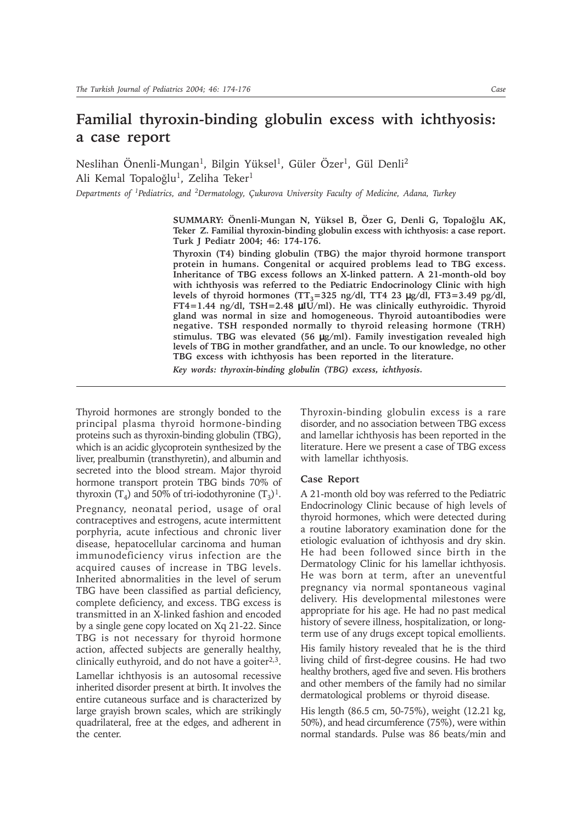# **Familial thyroxin-binding globulin excess with ichthyosis: a case report**

Neslihan Önenli-Mungan<sup>1</sup>, Bilgin Yüksel<sup>1</sup>, Güler Özer<sup>1</sup>, Gül Denli<sup>2</sup> Ali Kemal Topaloğlu<sup>1</sup>, Zeliha Teker<sup>1</sup> *Departments of 1Pediatrics, and 2Dermatology, Çukurova University Faculty of Medicine, Adana, Turkey*

**SUMMARY: Önenli-Mungan N, Yüksel B, Özer G, Denli G, Topaloðlu AK,**

**Teker Z. Familial thyroxin-binding globulin excess with ichthyosis: a case report. Turk J Pediatr 2004; 46: 174-176. Thyroxin (T4) binding globulin (TBG) the major thyroid hormone transport**

**protein in humans. Congenital or acquired problems lead to TBG excess. Inheritance of TBG excess follows an X-linked pattern. A 21-month-old boy with ichthyosis was referred to the Pediatric Endocrinology Clinic with high** levels of thyroid hormones  $(TT_3=325 \text{ ng/dl}, TT4 23 \text{ µg/dl}, FT3=3.49 \text{ pg/dl}$ , **FT4=1.44 ng/dl, TSH=2.48** µ**IU/ml). He was clinically euthyroidic. Thyroid gland was normal in size and homogeneous. Thyroid autoantibodies were negative. TSH responded normally to thyroid releasing hormone (TRH) stimulus. TBG was elevated (56** µ**g/ml). Family investigation revealed high levels of TBG in mother grandfather, and an uncle. To our knowledge, no other TBG excess with ichthyosis has been reported in the literature.**

*Key words: thyroxin-binding globulin (TBG) excess, ichthyosis.*

Thyroid hormones are strongly bonded to the principal plasma thyroid hormone-binding proteins such as thyroxin-binding globulin (TBG), which is an acidic glycoprotein synthesized by the liver, prealbumin (transthyretin), and albumin and secreted into the blood stream. Major thyroid hormone transport protein TBG binds 70% of thyroxin (T<sub>4</sub>) and 50% of tri-iodothyronine (T<sub>3</sub>)<sup>1</sup>. Pregnancy, neonatal period, usage of oral contraceptives and estrogens, acute intermittent porphyria, acute infectious and chronic liver disease, hepatocellular carcinoma and human immunodeficiency virus infection are the acquired causes of increase in TBG levels. Inherited abnormalities in the level of serum TBG have been classified as partial deficiency, complete deficiency, and excess. TBG excess is transmitted in an X-linked fashion and encoded by a single gene copy located on Xq 21-22. Since TBG is not necessary for thyroid hormone action, affected subjects are generally healthy, clinically euthyroid, and do not have a goiter $2,3$ . Lamellar ichthyosis is an autosomal recessive inherited disorder present at birth. It involves the entire cutaneous surface and is characterized by large grayish brown scales, which are strikingly quadrilateral, free at the edges, and adherent in

the center.

Thyroxin-binding globulin excess is a rare disorder, and no association between TBG excess and lamellar ichthyosis has been reported in the literature. Here we present a case of TBG excess with lamellar ichthyosis.

### **Case Report**

A 21-month old boy was referred to the Pediatric Endocrinology Clinic because of high levels of thyroid hormones, which were detected during a routine laboratory examination done for the etiologic evaluation of ichthyosis and dry skin. He had been followed since birth in the Dermatology Clinic for his lamellar ichthyosis. He was born at term, after an uneventful pregnancy via normal spontaneous vaginal delivery. His developmental milestones were appropriate for his age. He had no past medical history of severe illness, hospitalization, or longterm use of any drugs except topical emollients.

His family history revealed that he is the third living child of first-degree cousins. He had two healthy brothers, aged five and seven. His brothers and other members of the family had no similar dermatological problems or thyroid disease.

His length (86.5 cm, 50-75%), weight (12.21 kg, 50%), and head circumference (75%), were within normal standards. Pulse was 86 beats/min and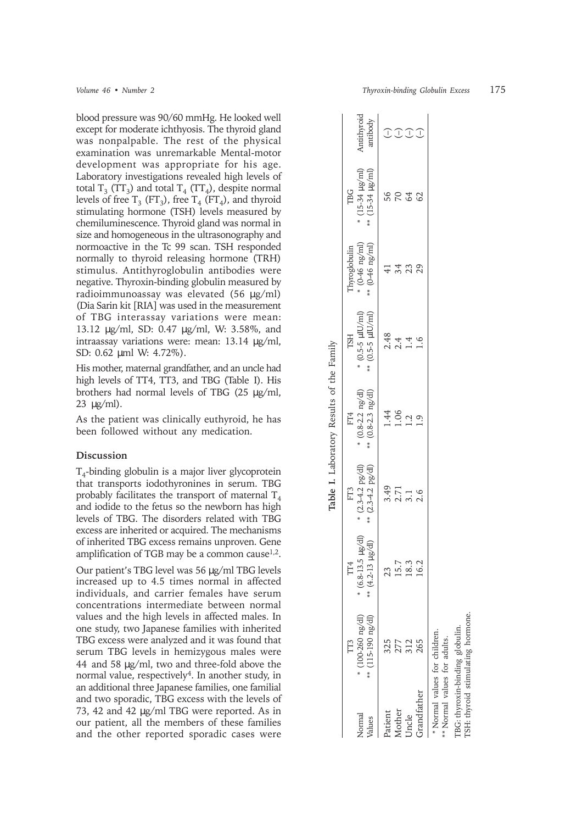blood pressure was 90/60 mmHg. He looked well except for moderate ichthyosis. The thyroid gland was nonpalpable. The rest of the physical examination was unremarkable Mental-motor development was appropriate for his age. Laboratory investigations revealed high levels of total  $T_3$  (TT<sub>3</sub>) and total  $T_4$  (TT<sub>4</sub>), despite normal levels of free  $T_3$  (FT<sub>3</sub>), free  $T_4$  (FT<sub>4</sub>), and thyroid stimulating hormone (TSH) levels measured by chemiluminescence. Thyroid gland was normal in size and homogeneous in the ultrasonography and normoactive in the Tc 99 scan. TSH responded normally to thyroid releasing hormone (TRH) stimulus. Antithyroglobulin antibodies were negative. Thyroxin-binding globulin measured by radioimmunoassay was elevated (56 µg/ml) (Dia Sarin kit [RIA] was used in the measurement of TBG interassay variations were mean: 13.12 µg/ml, SD: 0.47 µg/ml, W: 3.58%, and intraassay variations were: mean: 13.14 µg/ml, SD: 0.62 µml W: 4.72%).

His mother, maternal grandfather, and an uncle had high levels of TT4, TT3, and TBG (Table I). His brothers had normal levels of TBG (25 µg/ml, 23 µg/ml).

As the patient was clinically euthyroid, he has been followed without any medication.

# **Discussion**

 $T_4$ -binding globulin is a major liver glycoprotein that transports iodothyronines in serum. TBG probably facilitates the transport of maternal  $T_4$ and iodide to the fetus so the newborn has high levels of TBG. The disorders related with TBG excess are inherited or acquired. The mechanisms of inherited TBG excess remains unproven. Gene amplification of TGB may be a common cause $1,2$ .

Our patient's TBG level was 56 µg/ml TBG levels increased up to 4.5 times normal in affected individuals, and carrier females have serum concentrations intermediate between normal values and the high levels in affected males. In one study, two Japanese families with inherited TBG excess were analyzed and it was found that serum TBG levels in hemizygous males were 44 and 58 µg/ml, two and three-fold above the normal value, respectively4. In another study, in an additional three Japanese families, one familial and two sporadic, TBG excess with the levels of 73, 42 and 42 µg/ml TBG were reported. As in our patient, all the members of these families and the other reported sporadic cases were

| Vormal<br><b>Jalues</b> | $*(100-260)$ ng/dl<br>** (115-190 ng/dl)<br>TT3                      | $*(6.8-13.5 \text{ µg/dl})$<br>** $(4.2-13 \ \mu g/dl)$<br>TT4 | * $(2.3-4.2 \text{ pg/dl})$<br>** $(2.3-4.2 \text{ pg/dl})$<br>FT3 | * $(0.8-2.2 \text{ ng/dl})$<br>** $(0.8-2.3 \text{ ng/dl})$<br>FT4 | $^{*}$ (0.5-5 $\mu {\rm IU/ml}$ )<br>$^{**}$ (0.5-5 $\mu {\rm IU/ml}$<br><b>TSH</b><br>$*$ | $\begin{array}{c} {\rm Thyroglobulin}\\ * \ (0\text{-}46\ \mathrm{ng/ml})\\ * \ (0\text{-}46\ \mathrm{ng/ml}) \end{array}$ | * $(15-34 \mu g/ml)$<br>** $(15-34 \mu g/ml)$<br>TBG | Antithyroid<br>antibody |
|-------------------------|----------------------------------------------------------------------|----------------------------------------------------------------|--------------------------------------------------------------------|--------------------------------------------------------------------|--------------------------------------------------------------------------------------------|----------------------------------------------------------------------------------------------------------------------------|------------------------------------------------------|-------------------------|
| Patient                 | 325                                                                  | 23                                                             |                                                                    |                                                                    |                                                                                            |                                                                                                                            | 56                                                   |                         |
| Mother                  | 277                                                                  | 15.7                                                           | 9<br>9.7.1.6<br>0.1 0.0                                            | $1.44$<br>$1.2$<br>$1.2$                                           | $2.48$<br>$2.4$<br>$1.4$                                                                   |                                                                                                                            | 20                                                   | $\widehat{\mathbb{C}}$  |
| Jncle                   | 312                                                                  | 18.3                                                           |                                                                    |                                                                    |                                                                                            | 34<br>23                                                                                                                   | 64                                                   | <b>JJ</b>               |
| Frandfather             | 265                                                                  | 16.2                                                           |                                                                    | $\overline{6}$ .                                                   | 1.6                                                                                        | 29                                                                                                                         | 62                                                   |                         |
|                         | * Normal values for children.<br>*Normal values for adults.          |                                                                |                                                                    |                                                                    |                                                                                            |                                                                                                                            |                                                      |                         |
|                         | ISH: thyroid stimulating hormone.<br>TBG: thyroxin-binding globulin. |                                                                |                                                                    |                                                                    |                                                                                            |                                                                                                                            |                                                      |                         |

**Table I.** Laboratory Results of the Family

Table I. Laboratory Results of the Family